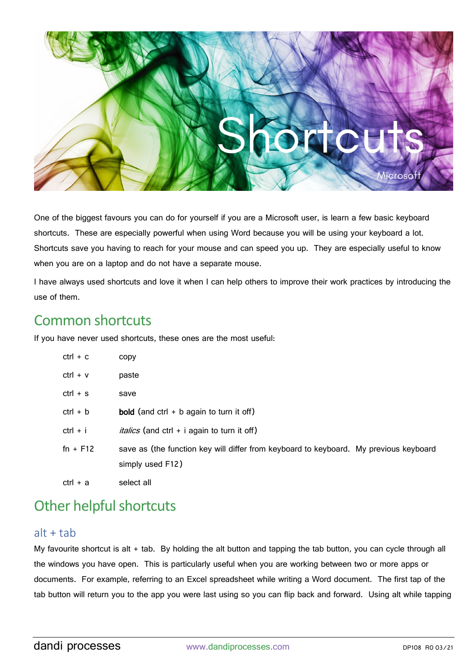

One of the biggest favours you can do for yourself if you are a Microsoft user, is learn a few basic keyboard shortcuts. These are especially powerful when using Word because you will be using your keyboard a lot. Shortcuts save you having to reach for your mouse and can speed you up. They are especially useful to know when you are on a laptop and do not have a separate mouse.

I have always used shortcuts and love it when I can help others to improve their work practices by introducing the use of them.

## Common shortcuts

If you have never used shortcuts, these ones are the most useful:

| ctrl + c   | copy                                                                                                      |
|------------|-----------------------------------------------------------------------------------------------------------|
| $ctrl + v$ | paste                                                                                                     |
| $ctrl + s$ | save                                                                                                      |
| $ctrl + b$ | <b>bold</b> (and $ctrl + b$ again to turn it off)                                                         |
| ctrl + i   | <i>italics</i> (and ctrl + i again to turn it off)                                                        |
| $fn + F12$ | save as (the function key will differ from keyboard to keyboard. My previous keyboard<br>simply used F12) |
| ctrl + a   | select all                                                                                                |

# Other helpful shortcuts

#### $alt + tab$

My favourite shortcut is alt + tab. By holding the alt button and tapping the tab button, you can cycle through all the windows you have open. This is particularly useful when you are working between two or more apps or documents. For example, referring to an Excel spreadsheet while writing a Word document. The first tap of the tab button will return you to the app you were last using so you can flip back and forward. Using alt while tapping